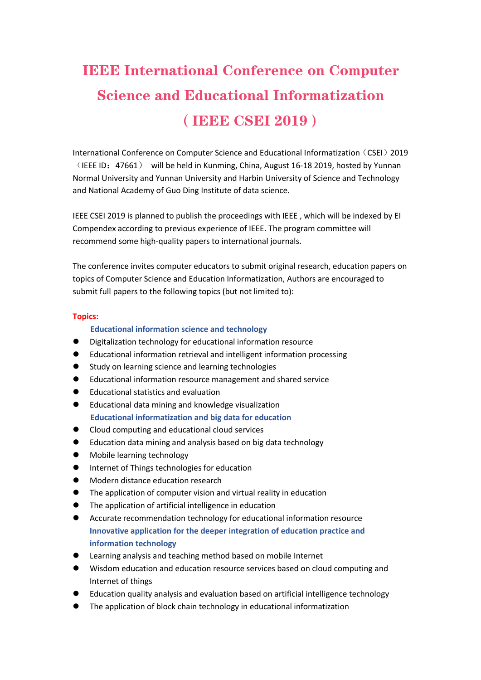# IEEE International Conference on Computer Science and Educational Informatization (IEEE CSEI 2019)

International Conference on Computer Science and Educational Informatization (CSEI) 2019 (IEEE ID:47661) will be held in Kunming, China, August 16-18 2019, hosted by Yunnan Normal University and Yunnan University and Harbin University of Science and Technology and National Academy of Guo Ding Institute of data science.

IEEE CSEI 2019 is planned to publish the proceedings with IEEE , which will be indexed by EI Compendex according to previous experience of IEEE. The program committee will recommend some high-quality papers to international journals.

The conference invites computer educators to submit original research, education papers on topics of Computer Science and Education Informatization, Authors are encouraged to submit full papers to the following topics (but not limited to):

#### **Topics:**

### **Educational information science and technology**

- Digitalization technology for educational information resource
- Educational information retrieval and intelligent information processing
- Study on learning science and learning technologies
- Educational information resource management and shared service
- Educational statistics and evaluation
- Educational data mining and knowledge visualization **Educational informatization and big data for education**
- Cloud computing and educational cloud services
- Education data mining and analysis based on big data technology
- Mobile learning technology
- **•** Internet of Things technologies for education
- Modern distance education research
- $\bullet$  The application of computer vision and virtual reality in education
- The application of artificial intelligence in education
- **•** Accurate recommendation technology for educational information resource **Innovative application for the deeper integration of education practice and information technology**
- Learning analysis and teaching method based on mobile Internet
- Wisdom education and education resource services based on cloud computing and Internet of things
- Education quality analysis and evaluation based on artificial intelligence technology
- The application of block chain technology in educational informatization